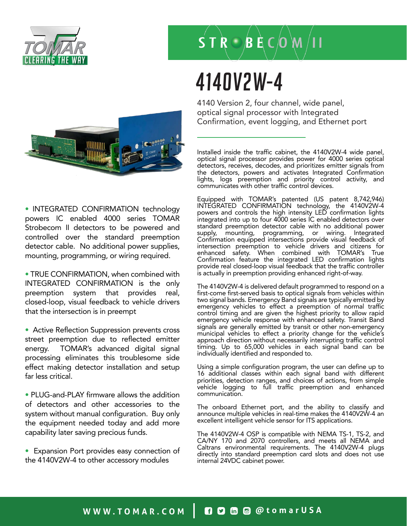

# $\overrightarrow{S}$  T R  $\odot$  B E C  $\overrightarrow{O}$  M  $/$  I I

### 4140V2W-4

4140 Version 2, four channel, wide panel, optical signal processor with Integrated Confirmation, event logging, and Ethernet port

Installed inside the traffic cabinet, the 4140V2W-4 wide panel, optical signal processor provides power for 4000 series optical detectors, receives, decodes, and prioritizes emitter signals from the detectors, powers and activates Integrated Confirmation lights, logs preemption and priority control activity, and communicates with other traffic control devices.

Equipped with TOMAR's patented (US patent 8,742,946) INTEGRATED CONFIRMATION technology, the 4140V2W-4 powers and controls the high intensity LED confirmation lights integrated into up to four 4000 series IC enabled detectors over standard preemption detector cable with no additional power supply, mounting, programming, or wiring. Integrated Confirmation equipped intersections provide visual feedback of intersection preemption to vehicle drivers and citizens for enhanced safety. When combined with TOMAR's True Confirmation feature the integrated LED confirmation lights provide real closed-loop visual feedback that the traffic controller is actually in preemption providing enhanced right-of-way.

The 4140V2W-4 is delivered default programmed to respond on a first-come first-served basis to optical signals from vehicles within two signal bands. Emergency Band signals are typically emitted by emergency vehicles to effect a preemption of normal traffic control timing and are given the highest priority to allow rapid emergency vehicle response with enhanced safety. Transit Band signals are generally emitted by transit or other non-emergency municipal vehicles to effect a priority change for the vehicle's approach direction without necessarily interrupting traffic control timing. Up to 65,000 vehicles in each signal band can be individually identified and responded to.

Using a simple configuration program, the user can define up to 16 additional classes within each signal band with different priorities, detection ranges, and choices of actions, from simple vehicle logging to full traffic preemption and enhanced communication.

The onboard Ethernet port, and the ability to classify and announce multiple vehicles in real-time makes the 4140V2W-4 an excellent intelligent vehicle sensor for ITS applications.

The 4140V2W-4 OSP is compatible with NEMA TS-1, TS-2, and CA/NY 170 and 2070 controllers, and meets all NEMA and Caltrans environmental requirements. The 4140V2W-4 plugs directly into standard preemption card slots and does not use internal 24VDC cabinet power.



• INTEGRATED CONFIRMATION technology powers IC enabled 4000 series TOMAR Strobecom II detectors to be powered and controlled over the standard preemption detector cable. No additional power supplies, mounting, programming, or wiring required.

• TRUE CONFIRMATION, when combined with INTEGRATED CONFIRMATION is the only preemption system that provides real, closed-loop, visual feedback to vehicle drivers that the intersection is in preempt

• Active Reflection Suppression prevents cross street preemption due to reflected emitter energy. TOMAR's advanced digital signal processing eliminates this troublesome side effect making detector installation and setup far less critical.

• PLUG-and-PLAY firmware allows the addition of detectors and other accessories to the system without manual configuration. Buy only the equipment needed today and add more capability later saving precious funds.

• Expansion Port provides easy connection of the 4140V2W-4 to other accessory modules